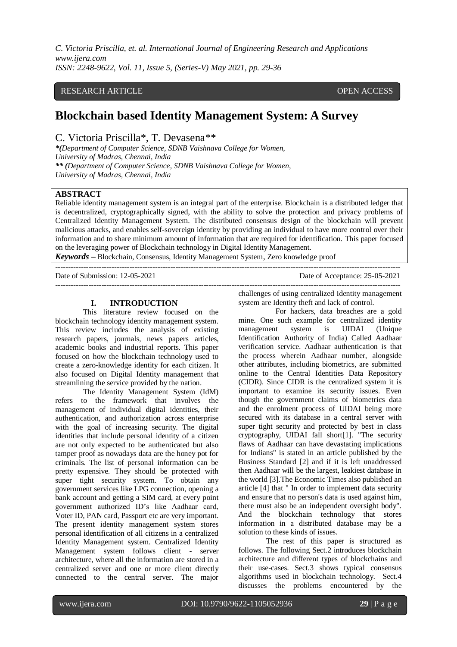## RESEARCH ARTICLE OPEN ACCESS

# **Blockchain based Identity Management System: A Survey**

C. Victoria Priscilla\*, T. Devasena\*\*

*\*(Department of Computer Science, SDNB Vaishnava College for Women, University of Madras, Chennai, India \*\* (Department of Computer Science, SDNB Vaishnava College for Women, University of Madras, Chennai, India*

#### **ABSTRACT**

Reliable identity management system is an integral part of the enterprise. Blockchain is a distributed ledger that is decentralized, cryptographically signed, with the ability to solve the protection and privacy problems of Centralized Identity Management System. The distributed consensus design of the blockchain will prevent malicious attacks, and enables self-sovereign identity by providing an individual to have more control over their information and to share minimum amount of information that are required for identification. This paper focused on the leveraging power of Blockchain technology in Digital Identity Management.

---------------------------------------------------------------------------------------------------------------------------------------

*Keywords* **–** Blockchain, Consensus, Identity Management System, Zero knowledge proof ---------------------------------------------------------------------------------------------------------------------------------------

Date of Submission: 12-05-2021 Date of Acceptance: 25-05-2021

#### **I. INTRODUCTION**

This literature review focused on the blockchain technology identity management system. This review includes the analysis of existing research papers, journals, news papers articles, academic books and industrial reports. This paper focused on how the blockchain technology used to create a zero-knowledge identity for each citizen. It also focused on Digital Identity management that streamlining the service provided by the nation.

The Identity Management System (IdM) refers to the framework that involves the management of individual digital identities, their authentication, and authorization across enterprise with the goal of increasing security. The digital identities that include personal identity of a citizen are not only expected to be authenticated but also tamper proof as nowadays data are the honey pot for criminals. The list of personal information can be pretty expensive. They should be protected with super tight security system. To obtain any government services like LPG connection, opening a bank account and getting a SIM card, at every point government authorized ID's like Aadhaar card, Voter ID, PAN card, Passport etc are very important. The present identity management system stores personal identification of all citizens in a centralized Identity Management system. Centralized Identity Management system follows client - server architecture, where all the information are stored in a centralized server and one or more client directly connected to the central server. The major

challenges of using centralized Identity management system are Identity theft and lack of control.

 For hackers, data breaches are a gold mine. One such example for centralized identity management system is UIDAI (Unique Identification Authority of India) Called Aadhaar verification service. Aadhaar authentication is that the process wherein Aadhaar number, alongside other attributes, including biometrics, are submitted online to the Central Identities Data Repository (CIDR). Since CIDR is the centralized system it is important to examine its security issues. Even though the government claims of biometrics data and the enrolment process of UIDAI being more secured with its database in a central server with super tight security and protected by best in class cryptography, UIDAI fall short[1]. "The security flaws of Aadhaar can have devastating implications for Indians" is stated in an article published by the Business Standard [2] and if it is left unaddressed then Aadhaar will be the largest, leakiest database in the world [3].The Economic Times also published an article [4] that " In order to implement data security and ensure that no person's data is used against him, there must also be an independent oversight body". And the blockchain technology that stores information in a distributed database may be a solution to these kinds of issues.

The rest of this paper is structured as follows. The following Sect.2 introduces blockchain architecture and different types of blockchains and their use-cases. Sect.3 shows typical consensus algorithms used in blockchain technology. Sect.4 discusses the problems encountered by the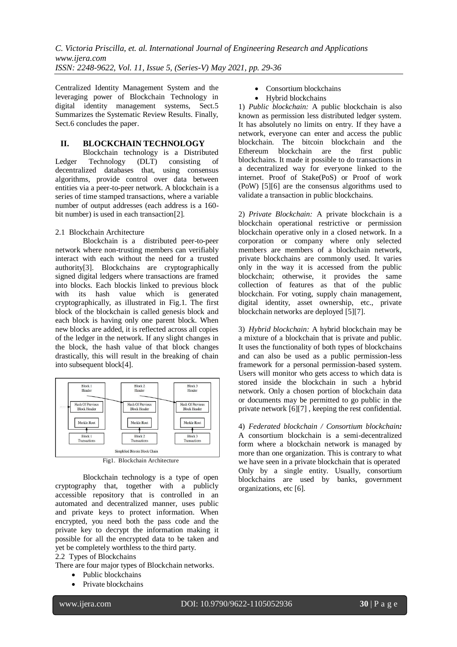Centralized Identity Management System and the leveraging power of Blockchain Technology in digital identity management systems, Sect.5 Summarizes the Systematic Review Results. Finally, Sect.6 concludes the paper.

## **II. BLOCKCHAIN TECHNOLOGY**

Blockchain technology is a Distributed Ledger Technology (DLT) consisting of decentralized databases that, using consensus algorithms, provide control over data between entities via a peer-to-peer network. A blockchain is a series of time stamped transactions, where a variable number of output addresses (each address is a 160 bit number) is used in each transaction[2].

### 2.1 Blockchain Architecture

Blockchain is a distributed peer-to-peer network where non-trusting members can verifiably interact with each without the need for a trusted authority[3]. Blockchains are cryptographically signed digital ledgers where transactions are framed into blocks. Each blockis linked to previous block with its hash value which is generated cryptographically, as illustrated in Fig.1. The first block of the blockchain is called genesis block and each block is having only one parent block. When new blocks are added, it is reflected across all copies of the ledger in the network. If any slight changes in the block, the hash value of that block changes drastically, this will result in the breaking of chain into subsequent block[4].



Fig1. Blockchain Architecture

Blockchain technology is a type of open cryptography that, together with a publicly accessible repository that is controlled in an automated and decentralized manner, uses public and private keys to protect information. When encrypted, you need both the pass code and the private key to decrypt the information making it possible for all the encrypted data to be taken and yet be completely worthless to the third party.

2.2 Types of Blockchains

There are four major types of Blockchain networks.

- Public blockchains
- Private blockchains
- Consortium blockchains
- Hybrid blockchains

1) *Public blockchain:* A public blockchain is also known as permission less distributed ledger system. It has absolutely no limits on entry. If they have a network, everyone can enter and access the public blockchain. The bitcoin blockchain and the Ethereum blockchain are the first public blockchains. It made it possible to do transactions in a decentralized way for everyone linked to the internet. Proof of Stake(PoS) or Proof of work (PoW) [5][6] are the consensus algorithms used to validate a transaction in public blockchains.

2) *Private Blockchain:* A private blockchain is a blockchain operational restrictive or permission blockchain operative only in a closed network. In a corporation or company where only selected members are members of a blockchain network, private blockchains are commonly used. It varies only in the way it is accessed from the public blockchain; otherwise, it provides the same collection of features as that of the public blockchain. For voting, supply chain management, digital identity, asset ownership, etc., private blockchain networks are deployed [5][7].

3) *Hybrid blockchain:* A hybrid blockchain may be a mixture of a blockchain that is private and public. It uses the functionality of both types of blockchains and can also be used as a public permission-less framework for a personal permission-based system. Users will monitor who gets access to which data is stored inside the blockchain in such a hybrid network. Only a chosen portion of blockchain data or documents may be permitted to go public in the private network [6][7] , keeping the rest confidential.

4) *Federated blockchain / Consortium blockchain:* A consortium blockchain is a semi-decentralized form where a blockchain network is managed by more than one organization. This is contrary to what we have seen in a private blockchain that is operated Only by a single entity. Usually, consortium blockchains are used by banks, government organizations, etc [6].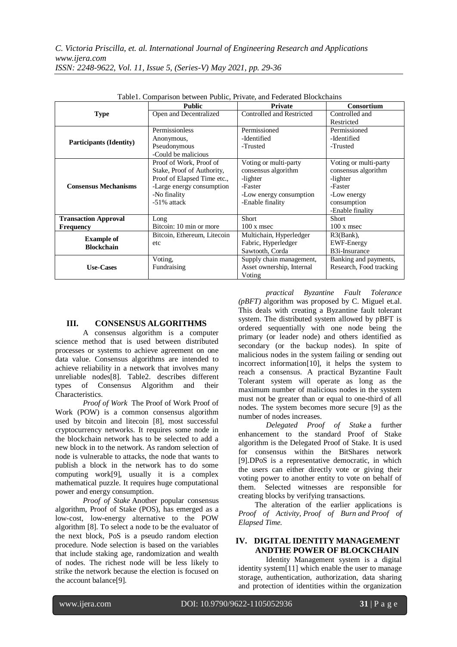|                                             | <b>Public</b>               | <b>Private</b>            | <b>Consortium</b>       |
|---------------------------------------------|-----------------------------|---------------------------|-------------------------|
| <b>Type</b>                                 | Open and Decentralized      | Controlled and Restricted | Controlled and          |
|                                             |                             |                           | Restricted              |
|                                             | Permissionless              | Permissioned              | Permissioned            |
| <b>Participants (Identity)</b>              | Anonymous,                  | -Identified               |                         |
|                                             | Pseudonymous                | -Trusted                  | -Trusted                |
|                                             | -Could be malicious         |                           |                         |
|                                             | Proof of Work, Proof of     | Voting or multi-party     | Voting or multi-party   |
|                                             | Stake, Proof of Authority,  | consensus algorithm       | consensus algorithm     |
| <b>Consensus Mechanisms</b>                 | Proof of Elapsed Time etc., | -lighter                  | -lighter                |
|                                             | -Large energy consumption   | -Faster                   | -Faster                 |
|                                             | -No finality                | -Low energy consumption   |                         |
|                                             | -51% attack                 | -Enable finality          |                         |
|                                             |                             |                           | -Enable finality        |
| <b>Transaction Approval</b>                 | Long                        | Short                     | Short                   |
| Bitcoin: 10 min or more<br><b>Frequency</b> |                             | $100 x$ msec              | $100 x$ msec            |
|                                             | Bitcoin, Ethereum, Litecoin | Multichain, Hyperledger   | $R3(Bank)$ ,            |
| <b>Example of</b><br><b>Blockchain</b>      | etc                         | Fabric, Hyperledger       | <b>EWF-Energy</b>       |
|                                             |                             | Sawtooth, Corda           | B3i-Insurance           |
|                                             | Voting,                     | Supply chain management,  | Banking and payments,   |
| <b>Use-Cases</b>                            | Fundraising                 | Asset ownership, Internal | Research, Food tracking |
|                                             |                             | Voting                    |                         |

Table1. Comparison between Public, Private, and Federated Blockchains

## **III. CONSENSUS ALGORITHMS**

A consensus algorithm is a computer science method that is used between distributed processes or systems to achieve agreement on one data value. Consensus algorithms are intended to achieve reliability in a network that involves many unreliable nodes[8]. Table2. describes different types of Consensus Algorithm and their Characteristics.

*Proof of Work* The Proof of Work Proof of Work (POW) is a common consensus algorithm used by bitcoin and litecoin [8], most successful cryptocurrency networks. It requires some node in the blockchain network has to be selected to add a new block in to the network. As random selection of node is vulnerable to attacks, the node that wants to publish a block in the network has to do some computing work[9], usually it is a complex mathematical puzzle. It requires huge computational power and energy consumption.

*Proof of Stake* Another popular consensus algorithm, Proof of Stake (POS), has emerged as a low-cost, low-energy alternative to the POW algorithm [8]. To select a node to be the evaluator of the next block, PoS is a pseudo random election procedure. Node selection is based on the variables that include staking age, randomization and wealth of nodes. The richest node will be less likely to strike the network because the election is focused on the account balance[9].

*practical Byzantine Fault Tolerance (pBFT)* algorithm was proposed by C. Miguel et.al. This deals with creating a Byzantine fault tolerant system. The distributed system allowed by pBFT is ordered sequentially with one node being the primary (or leader node) and others identified as secondary (or the backup nodes). In spite of malicious nodes in the system failing or sending out incorrect information[10], it helps the system to reach a consensus. A practical Byzantine Fault Tolerant system will operate as long as the maximum number of malicious nodes in the system must not be greater than or equal to one-third of all nodes. The system becomes more secure [9] as the number of nodes increases.

*Delegated Proof of Stake* a further enhancement to the standard Proof of Stake algorithm is the Delegated Proof of Stake. It is used for consensus within the BitShares network [9].DPoS is a representative democratic, in which the users can either directly vote or giving their voting power to another entity to vote on behalf of them. Selected witnesses are responsible for creating blocks by verifying transactions.

The alteration of the earlier applications is *Proof of Activity, Proof of Burn and Proof of Elapsed Time.*

## **IV. DIGITAL IDENTITY MANAGEMENT ANDTHE POWER OF BLOCKCHAIN**

Identity Management system is a digital identity system[11] which enable the user to manage storage, authentication, authorization, data sharing and protection of identities within the organization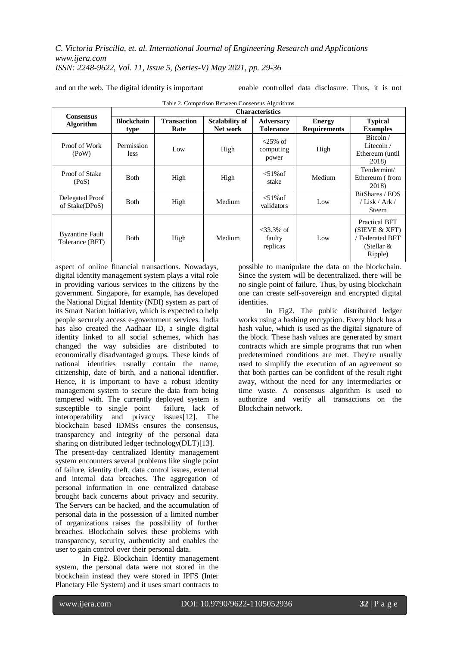and on the web. The digital identity is important

enable controlled data disclosure. Thus, it is not

| Table 2. Companioni Detween Consensus Tugoriumis |                           |                            |                                   |                                      |                                      |                                                                                           |
|--------------------------------------------------|---------------------------|----------------------------|-----------------------------------|--------------------------------------|--------------------------------------|-------------------------------------------------------------------------------------------|
|                                                  | <b>Characteristics</b>    |                            |                                   |                                      |                                      |                                                                                           |
| <b>Consensus</b><br><b>Algorithm</b>             | <b>Blockchain</b><br>type | <b>Transaction</b><br>Rate | <b>Scalability of</b><br>Net work | <b>Adversary</b><br><b>Tolerance</b> | <b>Energy</b><br><b>Requirements</b> | <b>Typical</b><br><b>Examples</b>                                                         |
| Proof of Work<br>(PoW)                           | Permission<br>less        | Low                        | High                              | $<25\%$ of<br>computing<br>power     | High                                 | Bitcoin/<br>Litecoin /<br>Ethereum (until<br>2018)                                        |
| Proof of Stake<br>(PoS)                          | <b>Both</b>               | High                       | High                              | $<$ 51% of<br>stake                  | Medium                               | Tendermint/<br>Ethereum (from<br>2018)                                                    |
| Delegated Proof<br>of Stake(DPoS)                | <b>Both</b>               | High                       | Medium                            | $<$ 51% of<br>validators             | Low                                  | BitShares / EOS<br>/ Lisk / Ark /<br>Steem                                                |
| <b>Byzantine Fault</b><br>Tolerance (BFT)        | <b>Both</b>               | High                       | Medium                            | $<33.3\%$ of<br>faulty<br>replicas   | Low                                  | <b>Practical BFT</b><br>(SIEVE & XFT)<br><b>Federated BFT</b><br>(Stellar $\&$<br>Ripple) |

Table 2. Comparison Between Consensus Algorithms

aspect of online financial transactions. Nowadays, digital identity management system plays a vital role in providing various services to the citizens by the government. Singapore, for example, has developed the National Digital Identity (NDI) system as part of its Smart Nation Initiative, which is expected to help people securely access e-government services. India has also created the Aadhaar ID, a single digital identity linked to all social schemes, which has changed the way subsidies are distributed to economically disadvantaged groups. These kinds of national identities usually contain the name, citizenship, date of birth, and a national identifier. Hence, it is important to have a robust identity management system to secure the data from being tampered with. The currently deployed system is susceptible to single point failure, lack of interoperability and privacy issues[12]. The blockchain based IDMSs ensures the consensus, transparency and integrity of the personal data sharing on distributed ledger technology(DLT)[13]. The present-day centralized Identity management system encounters several problems like single point of failure, identity theft, data control issues, external and internal data breaches. The aggregation of personal information in one centralized database brought back concerns about privacy and security. The Servers can be hacked, and the accumulation of personal data in the possession of a limited number of organizations raises the possibility of further breaches. Blockchain solves these problems with transparency, security, authenticity and enables the user to gain control over their personal data.

In Fig2. Blockchain Identity management system, the personal data were not stored in the blockchain instead they were stored in IPFS (Inter Planetary File System) and it uses smart contracts to

possible to manipulate the data on the blockchain. Since the system will be decentralized, there will be no single point of failure. Thus, by using blockchain one can create self-sovereign and encrypted digital identities.

In Fig2. The public distributed ledger works using a hashing encryption. Every block has a hash value, which is used as the digital signature of the block. These hash values are generated by smart contracts which are simple programs that run when predetermined conditions are met. They're usually used to simplify the execution of an agreement so that both parties can be confident of the result right away, without the need for any intermediaries or time waste. A consensus algorithm is used to authorize and verify all transactions on the Blockchain network.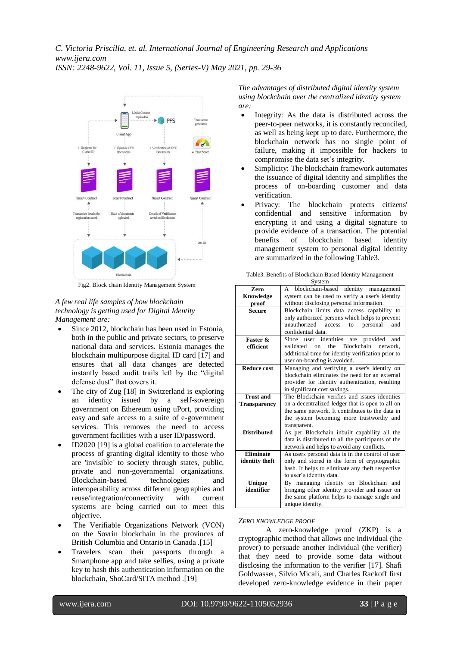

Fig2. Block chain Identity Management System

#### *A few real life samples of how blockchain technology is getting used for Digital Identity Management are:*

- Since 2012, blockchain has been used in Estonia, both in the public and private sectors, to preserve national data and services. Estonia manages the blockchain multipurpose digital ID card [17] and ensures that all data changes are detected instantly based audit trails left by the "digital defense dust" that covers it.
- The city of Zug [18] in Switzerland is exploring an identity issued by a self-sovereign government on Ethereum using uPort, providing easy and safe access to a suite of e-government services. This removes the need to access government facilities with a user ID/password.
- ID2020 [19] is a global coalition to accelerate the process of granting digital identity to those who are 'invisible' to society through states, public, private and non-governmental organizations. Blockchain-based technologies and interoperability across different geographies and reuse/integration/connectivity with current systems are being carried out to meet this objective.
- The Verifiable Organizations Network (VON) on the Sovrin blockchain in the provinces of British Columbia and Ontario in Canada .[15]
- Travelers scan their passports through a Smartphone app and take selfies, using a private key to hash this authentication information on the blockchain, ShoCard/SITA method .[19]

*The advantages of distributed digital identity system using blockchain over the centralized identity system are:*

- Integrity: As the data is distributed across the peer-to-peer networks, it is constantly reconciled, as well as being kept up to date. Furthermore, the blockchain network has no single point of failure, making it impossible for hackers to compromise the data set's integrity.
- Simplicity: The blockchain framework automates the issuance of digital identity and simplifies the process of on-boarding customer and data verification.
- Privacy: The blockchain protects citizens' confidential and sensitive information by encrypting it and using a digital signature to provide evidence of a transaction. The potential benefits of blockchain based identity management system to personal digital identity are summarized in the following Table3.

| Zero                | blockchain-based identity management<br>A                |  |  |  |
|---------------------|----------------------------------------------------------|--|--|--|
| Knowledge           | system can be used to verify a user's identity           |  |  |  |
| proof               | without disclosing personal information.                 |  |  |  |
| <b>Secure</b>       | Blockchain limits data access capability to              |  |  |  |
|                     | only authorized persons which helps to prevent           |  |  |  |
|                     | unauthorized<br>access<br>personal<br>and<br>to          |  |  |  |
|                     | confidential data.                                       |  |  |  |
| Faster &            | user identities<br>provided<br>Since<br>are<br>and       |  |  |  |
| efficient           | Blockchain<br>validated<br>the<br>network.<br>$\alpha$ n |  |  |  |
|                     | additional time for identity verification prior to       |  |  |  |
|                     | user on-boarding is avoided.                             |  |  |  |
| <b>Reduce cost</b>  | Managing and verifying a user's identity on              |  |  |  |
|                     | blockchain eliminates the need for an external           |  |  |  |
|                     | provider for identity authentication, resulting          |  |  |  |
|                     | in significant cost savings.                             |  |  |  |
| <b>Trust and</b>    | The Blockchain verifies and issues identities            |  |  |  |
| <b>Transparency</b> | on a decentralized ledger that is open to all on         |  |  |  |
|                     | the same network. It contributes to the data in          |  |  |  |
|                     | the system becoming more trustworthy and                 |  |  |  |
|                     | transparent.                                             |  |  |  |
| <b>Distributed</b>  | As per Blockchain inbuilt capability all the             |  |  |  |
|                     | data is distributed to all the participants of the       |  |  |  |
|                     | network and helps to avoid any conflicts.                |  |  |  |
| <b>Eliminate</b>    | As users personal data is in the control of user         |  |  |  |
| identity theft      | only and stored in the form of cryptographic             |  |  |  |
|                     | hash. It helps to eliminate any theft respective         |  |  |  |
|                     | to user's identity data.                                 |  |  |  |
| Unique              | By managing identity on Blockchain and                   |  |  |  |
| identifier          | bringing other identity provider and issuer on           |  |  |  |
|                     | the same platform helps to manage single and             |  |  |  |
|                     | unique identity.                                         |  |  |  |

Table3. Benefits of Blockchain Based Identity Management System

### *ZERO KNOWLEDGE PROOF*

A zero-knowledge proof (ZKP) is a cryptographic method that allows one individual (the prover) to persuade another individual (the verifier) that they need to provide some data without disclosing the information to the verifier [17]. Shafi Goldwasser, Silvio Micali, and Charles Rackoff first developed zero-knowledge evidence in their paper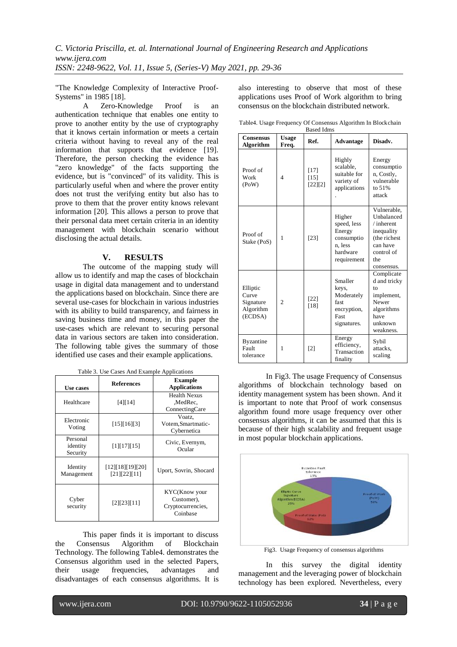"The Knowledge Complexity of Interactive Proof-Systems" in 1985 [18].

A Zero-Knowledge Proof is an authentication technique that enables one entity to prove to another entity by the use of cryptography that it knows certain information or meets a certain criteria without having to reveal any of the real information that supports that evidence [19]. Therefore, the person checking the evidence has "zero knowledge" of the facts supporting the evidence, but is "convinced" of its validity. This is particularly useful when and where the prover entity does not trust the verifying entity but also has to prove to them that the prover entity knows relevant information [20]. This allows a person to prove that their personal data meet certain criteria in an identity management with blockchain scenario without disclosing the actual details.

#### **V. RESULTS**

The outcome of the mapping study will allow us to identify and map the cases of blockchain usage in digital data management and to understand the applications based on blockchain. Since there are several use-cases for blockchain in various industries with its ability to build transparency, and fairness in saving business time and money, in this paper the use-cases which are relevant to securing personal data in various sectors are taken into consideration. The following table gives the summary of those identified use cases and their example applications.

| Use cases              | <b>References</b>                | <b>Example</b><br><b>Applications</b>                        |  |
|------------------------|----------------------------------|--------------------------------------------------------------|--|
|                        |                                  | <b>Health Nexus</b>                                          |  |
| Healthcare             | [4] [14]                         | ,MedRec.                                                     |  |
|                        |                                  | ConnectingCare                                               |  |
| Electronic             |                                  | Voatz.                                                       |  |
| Voting                 | [15][16][3]                      | Votem, Smartmatic-                                           |  |
|                        |                                  | Cybernetica                                                  |  |
| Personal               |                                  | Civic, Evernym,                                              |  |
| identity               | [1][17][15]                      | Ocular                                                       |  |
| Security               |                                  |                                                              |  |
| Identity<br>Management | [12][18][19][20]<br>[21][22][11] | Uport, Sovrin, Shocard                                       |  |
| Cyber<br>security      | [2][23][11]                      | KYC(Know your<br>Customer),<br>Cryptocurrencies,<br>Coinbase |  |

Table 3. Use Cases And Example Applications

This paper finds it is important to discuss the Consensus Algorithm of Blockchain Technology. The following Table4. demonstrates the Consensus algorithm used in the selected Papers, their usage frequencies, advantages and disadvantages of each consensus algorithms. It is

also interesting to observe that most of these applications uses Proof of Work algorithm to bring consensus on the blockchain distributed network.

|  | Table4. Usage Frequency Of Consensus Algorithm In Blockchain |  |
|--|--------------------------------------------------------------|--|
|  | <b>Based Idms</b>                                            |  |

| <b>Consensus</b><br><b>Algorithm</b>                   | <b>Usage</b><br>Freq. | Ref.                          | <b>Advantage</b>                                                                    | Disadv.                                                                                                             |
|--------------------------------------------------------|-----------------------|-------------------------------|-------------------------------------------------------------------------------------|---------------------------------------------------------------------------------------------------------------------|
| Proof of<br>Work<br>(PoW)                              | $\overline{4}$        | $[17]$<br>$[15]$<br>$[22][2]$ | Highly<br>scalable.<br>suitable for<br>variety of<br>applications                   | Energy<br>consumptio<br>n, Costly,<br>vulnerable<br>to 51%<br>attack                                                |
| Proof of<br>Stake (PoS)                                | 1                     | [23]                          | Higher<br>speed, less<br>Energy<br>consumptio<br>n. less<br>hardware<br>requirement | Vulnerable,<br>Unbalanced<br>/inherent<br>inequality<br>(the richest<br>can have<br>control of<br>the<br>consensus. |
| Elliptic<br>Curve<br>Signature<br>Algorithm<br>(ECDSA) | $\overline{c}$        | $[22]$<br>[18]                | Smaller<br>keys.<br>Moderately<br>fast<br>encryption,<br>Fast<br>signatures.        | Complicate<br>d and tricky<br>to<br>implement,<br>Newer<br>algorithms<br>have<br>unknown<br>weakness.               |
| <b>Byzantine</b><br>Fault<br>tolerance                 | 1                     | [2]                           | Energy<br>efficiency,<br>Transaction<br>finality                                    | Sybil<br>attacks.<br>scaling                                                                                        |

In Fig3. The usage Frequency of Consensus algorithms of blockchain technology based on identity management system has been shown. And it is important to note that Proof of work consensus algorithm found more usage frequency over other consensus algorithms, it can be assumed that this is because of their high scalability and frequent usage in most popular blockchain applications.



Fig3. Usage Frequency of consensus algorithms

In this survey the digital identity management and the leveraging power of blockchain technology has been explored. Nevertheless, every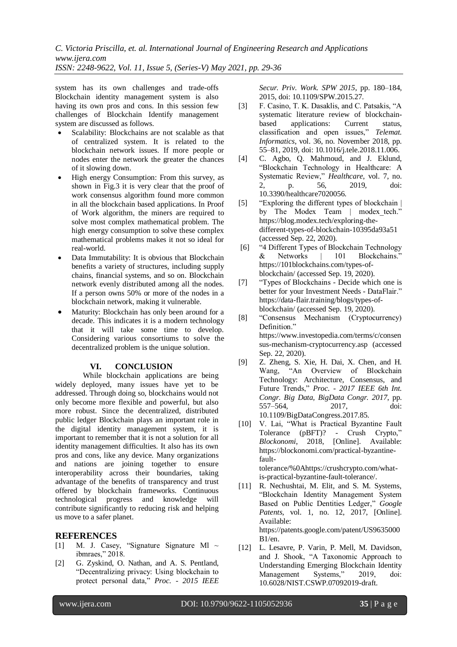system has its own challenges and trade-offs Blockchain identity management system is also having its own pros and cons. In this session few challenges of Blockchain Identify management system are discussed as follows.

- Scalability: Blockchains are not scalable as that of centralized system. It is related to the blockchain network issues. If more people or nodes enter the network the greater the chances of it slowing down.
- High energy Consumption: From this survey, as shown in Fig.3 it is very clear that the proof of work consensus algorithm found more common in all the blockchain based applications. In Proof of Work algorithm, the miners are required to solve most complex mathematical problem. The high energy consumption to solve these complex mathematical problems makes it not so ideal for real-world.
- Data Immutability: It is obvious that Blockchain benefits a variety of structures, including supply chains, financial systems, and so on. Blockchain network evenly distributed among all the nodes. If a person owns 50% or more of the nodes in a blockchain network, making it vulnerable.
- Maturity: Blockchain has only been around for a decade. This indicates it is a modern technology that it will take some time to develop. Considering various consortiums to solve the decentralized problem is the unique solution.

## **VI. CONCLUSION**

While blockchain applications are being widely deployed, many issues have yet to be addressed. Through doing so, blockchains would not only become more flexible and powerful, but also more robust. Since the decentralized, distributed public ledger Blockchain plays an important role in the digital identity management system, it is important to remember that it is not a solution for all identity management difficulties. It also has its own pros and cons, like any device. Many organizations and nations are joining together to ensure interoperability across their boundaries, taking advantage of the benefits of transparency and trust offered by blockchain frameworks. Continuous technological progress and knowledge will contribute significantly to reducing risk and helping us move to a safer planet.

## **REFERENCES**

- [1] M. J. Casey, "Signature Signature Ml  $\sim$ ibmraes," 2018.
- [2] G. Zyskind, O. Nathan, and A. S. Pentland, "Decentralizing privacy: Using blockchain to protect personal data," *Proc. - 2015 IEEE*

*Secur. Priv. Work. SPW 2015*, pp. 180–184, 2015, doi: 10.1109/SPW.2015.27.

- [3] F. Casino, T. K. Dasaklis, and C. Patsakis, "A systematic literature review of blockchainbased applications: Current status, classification and open issues," *Telemat. Informatics*, vol. 36, no. November 2018, pp. 55–81, 2019, doi: 10.1016/j.tele.2018.11.006.
- [4] C. Agbo, Q. Mahmoud, and J. Eklund, "Blockchain Technology in Healthcare: A Systematic Review," *Healthcare*, vol. 7, no. 2, p. 56, 2019, doi: 10.3390/healthcare7020056.
- [5] "Exploring the different types of blockchain | by The Modex Team | modex\_tech." https://blog.modex.tech/exploring-thedifferent-types-of-blockchain-10395da93a51 (accessed Sep. 22, 2020).
- [6] "4 Different Types of Blockchain Technology & Networks | 101 Blockchains." https://101blockchains.com/types-ofblockchain/ (accessed Sep. 19, 2020).
- [7] "Types of Blockchains Decide which one is better for your Investment Needs - DataFlair." https://data-flair.training/blogs/types-ofblockchain/ (accessed Sep. 19, 2020).
- [8] "Consensus Mechanism (Cryptocurrency) Definition." https://www.investopedia.com/terms/c/consen sus-mechanism-cryptocurrency.asp (accessed Sep. 22, 2020).
- [9] Z. Zheng, S. Xie, H. Dai, X. Chen, and H. Wang, "An Overview of Blockchain Technology: Architecture, Consensus, and Future Trends," *Proc. - 2017 IEEE 6th Int. Congr. Big Data, BigData Congr. 2017*, pp. 557–564, 2017, doi: 10.1109/BigDataCongress.2017.85.
- [10] V. Lai, "What is Practical Byzantine Fault Tolerance (pBFT)? - Crush Crypto," *Blockonomi*, 2018, [Online]. Available: https://blockonomi.com/practical-byzantinefaulttolerance/%0Ahttps://crushcrypto.com/whatis-practical-byzantine-fault-tolerance/.
- [11] R. Nechushtai, M. Elit, and S. M. Systems, "Blockchain Identity Management System Based on Public Dentities Ledger," *Google Patents*, vol. 1, no. 12, 2017, [Online]. Available: https://patents.google.com/patent/US9635000 B1/en.
- [12] L. Lesavre, P. Varin, P. Mell, M. Davidson, and J. Shook, "A Taxonomic Approach to Understanding Emerging Blockchain Identity Management Systems," 2019, doi: 10.6028/NIST.CSWP.07092019-draft.